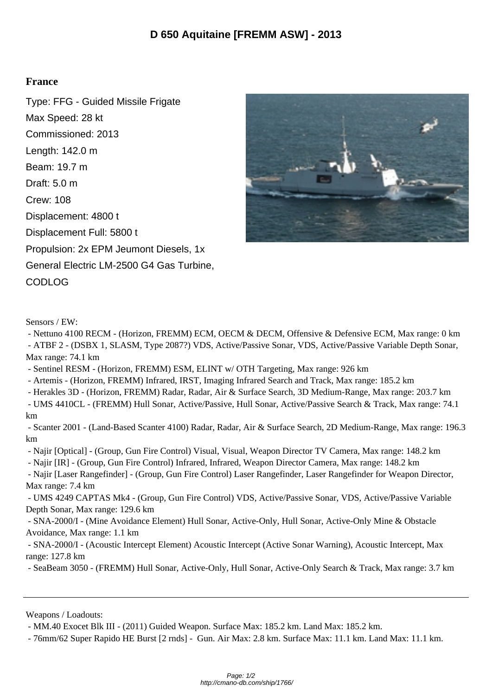## **France**

Type: FFG - Guided Missile Frigate Max Speed: 28 kt Commissioned: 2013 Length: 142.0 m Beam: 19.7 m Draft: 5.0 m Crew: 108 Displacement: 4800 t Displacement Full: 5800 t Propulsion: 2x EPM Jeumont Diesels, 1x General Electric LM-2500 G4 Gas Turbine, CODLOG



Sensors / EW:

 - Nettuno 4100 RECM - (Horizon, FREMM) ECM, OECM & DECM, Offensive & Defensive ECM, Max range: 0 km - ATBF 2 - (DSBX 1, SLASM, Type 2087?) VDS, Active/Passive Sonar, VDS, Active/Passive Variable Depth Sonar, Max range: 74.1 km

- Sentinel RESM - (Horizon, FREMM) ESM, ELINT w/ OTH Targeting, Max range: 926 km

- Artemis - (Horizon, FREMM) Infrared, IRST, Imaging Infrared Search and Track, Max range: 185.2 km

- Herakles 3D - (Horizon, FREMM) Radar, Radar, Air & Surface Search, 3D Medium-Range, Max range: 203.7 km

 - UMS 4410CL - (FREMM) Hull Sonar, Active/Passive, Hull Sonar, Active/Passive Search & Track, Max range: 74.1 km

 - Scanter 2001 - (Land-Based Scanter 4100) Radar, Radar, Air & Surface Search, 2D Medium-Range, Max range: 196.3 km

- Najir [Optical] - (Group, Gun Fire Control) Visual, Visual, Weapon Director TV Camera, Max range: 148.2 km

- Najir [IR] - (Group, Gun Fire Control) Infrared, Infrared, Weapon Director Camera, Max range: 148.2 km

 - Najir [Laser Rangefinder] - (Group, Gun Fire Control) Laser Rangefinder, Laser Rangefinder for Weapon Director, Max range: 7.4 km

 - UMS 4249 CAPTAS Mk4 - (Group, Gun Fire Control) VDS, Active/Passive Sonar, VDS, Active/Passive Variable Depth Sonar, Max range: 129.6 km

 - SNA-2000/I - (Mine Avoidance Element) Hull Sonar, Active-Only, Hull Sonar, Active-Only Mine & Obstacle Avoidance, Max range: 1.1 km

 - SNA-2000/I - (Acoustic Intercept Element) Acoustic Intercept (Active Sonar Warning), Acoustic Intercept, Max range: 127.8 km

- SeaBeam 3050 - (FREMM) Hull Sonar, Active-Only, Hull Sonar, Active-Only Search & Track, Max range: 3.7 km

Weapons / Loadouts:

- MM.40 Exocet Blk III - (2011) Guided Weapon. Surface Max: 185.2 km. Land Max: 185.2 km.

- 76mm/62 Super Rapido HE Burst [2 rnds] - Gun. Air Max: 2.8 km. Surface Max: 11.1 km. Land Max: 11.1 km.